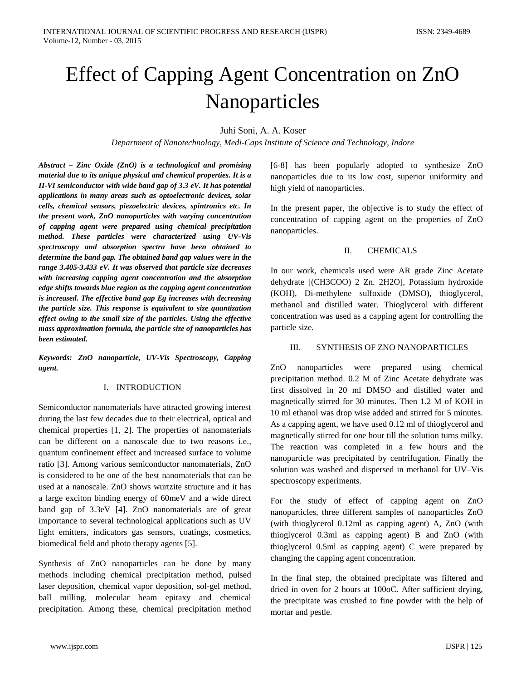# Effect of Capping Agent Concentration on ZnO Nanoparticles

Juhi Soni, A. A. Koser

*Department of Nanotechnology, Medi-Caps Institute of Science and Technology, Indore*

*Abstract – Zinc Oxide (ZnO) is a technological and promising material due to its unique physical and chemical properties. It is a II-VI semiconductor with wide band gap of 3.3 eV. It has potential applications in many areas such as optoelectronic devices, solar cells, chemical sensors, piezoelectric devices, spintronics etc. In the present work, ZnO nanoparticles with varying concentration of capping agent were prepared using chemical precipitation method. These particles were characterized using UV-Vis spectroscopy and absorption spectra have been obtained to determine the band gap. The obtained band gap values were in the range 3.405-3.433 eV. It was observed that particle size decreases with increasing capping agent concentration and the absorption edge shifts towards blue region as the capping agent concentration is increased. The effective band gap Eg increases with decreasing the particle size. This response is equivalent to size quantization effect owing to the small size of the particles. Using the effective mass approximation formula, the particle size of nanoparticles has been estimated.*

*Keywords: ZnO nanoparticle, UV-Vis Spectroscopy, Capping agent.* 

#### I. INTRODUCTION

Semiconductor nanomaterials have attracted growing interest during the last few decades due to their electrical, optical and chemical properties [1, 2]. The properties of nanomaterials can be different on a nanoscale due to two reasons i.e., quantum confinement effect and increased surface to volume ratio [3]. Among various semiconductor nanomaterials, ZnO is considered to be one of the best nanomaterials that can be used at a nanoscale. ZnO shows wurtzite structure and it has a large exciton binding energy of 60meV and a wide direct band gap of 3.3eV [4]. ZnO nanomaterials are of great importance to several technological applications such as UV light emitters, indicators gas sensors, coatings, cosmetics, biomedical field and photo therapy agents [5].

Synthesis of ZnO nanoparticles can be done by many methods including chemical precipitation method, pulsed laser deposition, chemical vapor deposition, sol-gel method, ball milling, molecular beam epitaxy and chemical precipitation. Among these, chemical precipitation method [6-8] has been popularly adopted to synthesize ZnO nanoparticles due to its low cost, superior uniformity and high yield of nanoparticles.

In the present paper, the objective is to study the effect of concentration of capping agent on the properties of ZnO nanoparticles.

# II. CHEMICALS

In our work, chemicals used were AR grade Zinc Acetate dehydrate [(CH3COO) 2 Zn. 2H2O], Potassium hydroxide (KOH), Di-methylene sulfoxide (DMSO), thioglycerol, methanol and distilled water. Thioglycerol with different concentration was used as a capping agent for controlling the particle size.

# III. SYNTHESIS OF ZNO NANOPARTICLES

ZnO nanoparticles were prepared using chemical precipitation method. 0.2 M of Zinc Acetate dehydrate was first dissolved in 20 ml DMSO and distilled water and magnetically stirred for 30 minutes. Then 1.2 M of KOH in 10 ml ethanol was drop wise added and stirred for 5 minutes. As a capping agent, we have used 0.12 ml of thioglycerol and magnetically stirred for one hour till the solution turns milky. The reaction was completed in a few hours and the nanoparticle was precipitated by centrifugation. Finally the solution was washed and dispersed in methanol for UV–Vis spectroscopy experiments.

For the study of effect of capping agent on ZnO nanoparticles, three different samples of nanoparticles ZnO (with thioglycerol 0.12ml as capping agent) A, ZnO (with thioglycerol 0.3ml as capping agent) B and ZnO (with thioglycerol 0.5ml as capping agent) C were prepared by changing the capping agent concentration.

In the final step, the obtained precipitate was filtered and dried in oven for 2 hours at 100oC. After sufficient drying, the precipitate was crushed to fine powder with the help of mortar and pestle.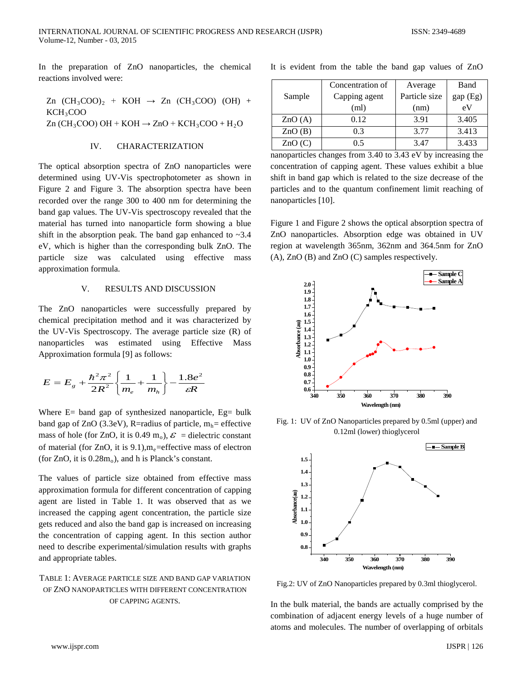In the preparation of ZnO nanoparticles, the chemical reactions involved were:

$$
Zn (CH3COO)2 + KOH \rightarrow Zn (CH3COO) (OH) + KCH3COO
$$
  

$$
Zn (CH3COO) OH + KOH \rightarrow ZnO + KCH3COO + H2O
$$

### IV. CHARACTERIZATION

The optical absorption spectra of ZnO nanoparticles were determined using UV-Vis spectrophotometer as shown in Figure 2 and Figure 3. The absorption spectra have been recorded over the range 300 to 400 nm for determining the band gap values. The UV-Vis spectroscopy revealed that the material has turned into nanoparticle form showing a blue shift in the absorption peak. The band gap enhanced to  $\sim 3.4$ eV, which is higher than the corresponding bulk ZnO. The particle size was calculated using effective mass approximation formula.

#### V. RESULTS AND DISCUSSION

The ZnO nanoparticles were successfully prepared by chemical precipitation method and it was characterized by the UV-Vis Spectroscopy. The average particle size (R) of nanoparticles was estimated using Effective Mass Approximation formula [9] as follows:

$$
E = E_{g} + \frac{\hbar^{2} \pi^{2}}{2R^{2}} \left\{ \frac{1}{m_{e}} + \frac{1}{m_{h}} \right\} - \frac{1.8e^{2}}{\varepsilon R}
$$

Where  $E=$  band gap of synthesized nanoparticle,  $Eg=$  bulk band gap of  $ZnO$  (3.3eV), R=radius of particle,  $m_h$ = effective mass of hole (for ZnO, it is 0.49 m<sub>o</sub>),  $\mathcal{E}$  = dielectric constant of material (for ZnO, it is  $9.1$ ),  $m_e$ =effective mass of electron (for  $ZnO$ , it is  $0.28m<sub>o</sub>$ ), and h is Planck's constant.

The values of particle size obtained from effective mass approximation formula for different concentration of capping agent are listed in Table 1. It was observed that as we increased the capping agent concentration, the particle size gets reduced and also the band gap is increased on increasing the concentration of capping agent. In this section author need to describe experimental/simulation results with graphs and appropriate tables.

# TABLE 1: AVERAGE PARTICLE SIZE AND BAND GAP VARIATION OF ZNO NANOPARTICLES WITH DIFFERENT CONCENTRATION OF CAPPING AGENTS.

|  |  | It is evident from the table the band gap values of ZnO |  |  |  |  |  |  |  |  |  |
|--|--|---------------------------------------------------------|--|--|--|--|--|--|--|--|--|
|--|--|---------------------------------------------------------|--|--|--|--|--|--|--|--|--|

|        | Concentration of | Average       | Band     |  |  |
|--------|------------------|---------------|----------|--|--|
| Sample | Capping agent    | Particle size | gap (Eg) |  |  |
|        | (ml)             | (nm)          | eV       |  |  |
| ZnO(A) | 0.12             | 3.91          | 3.405    |  |  |
| ZnO(B) | 0.3              | 3.77          | 3.413    |  |  |
| ZnO(C) | 0.5              | 3.47          | 3.433    |  |  |

nanoparticles changes from 3.40 to 3.43 eV by increasing the concentration of capping agent. These values exhibit a blue shift in band gap which is related to the size decrease of the particles and to the quantum confinement limit reaching of nanoparticles [10].

Figure 1 and Figure 2 shows the optical absorption spectra of ZnO nanoparticles. Absorption edge was obtained in UV region at wavelength 365nm, 362nm and 364.5nm for ZnO (A), ZnO (B) and ZnO (C) samples respectively.



Fig. 1: UV of ZnO Nanoparticles prepared by 0.5ml (upper) and 0.12ml (lower) thioglycerol



Fig.2: UV of ZnO Nanoparticles prepared by 0.3ml thioglycerol.

In the bulk material, the bands are actually comprised by the combination of adjacent energy levels of a huge number of atoms and molecules. The number of overlapping of orbitals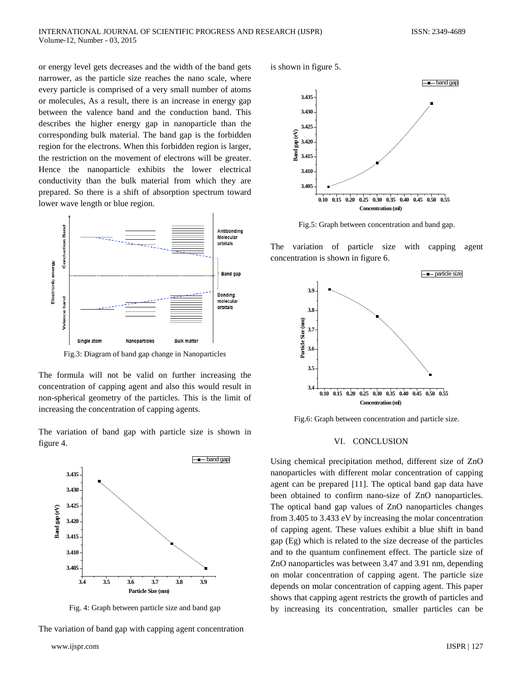or energy level gets decreases and the width of the band gets narrower, as the particle size reaches the nano scale, where every particle is comprised of a very small number of atoms or molecules, As a result, there is an increase in energy gap between the valence band and the conduction band. This describes the higher energy gap in nanoparticle than the corresponding bulk material. The band gap is the forbidden region for the electrons. When this forbidden region is larger, the restriction on the movement of electrons will be greater. Hence the nanoparticle exhibits the lower electrical conductivity than the bulk material from which they are prepared. So there is a shift of absorption spectrum toward lower wave length or blue region.



Fig.3: Diagram of band gap change in Nanoparticles

The formula will not be valid on further increasing the concentration of capping agent and also this would result in non-spherical geometry of the particles. This is the limit of increasing the concentration of capping agents.

The variation of band gap with particle size is shown in figure 4.



Fig. 4: Graph between particle size and band gap

The variation of band gap with capping agent concentration

is shown in figure 5.



Fig.5: Graph between concentration and band gap.

The variation of particle size with capping agent concentration is shown in figure 6.



Fig.6: Graph between concentration and particle size.

#### VI. CONCLUSION

Using chemical precipitation method, different size of ZnO nanoparticles with different molar concentration of capping agent can be prepared [11]. The optical band gap data have been obtained to confirm nano-size of ZnO nanoparticles. The optical band gap values of ZnO nanoparticles changes from 3.405 to 3.433 eV by increasing the molar concentration of capping agent. These values exhibit a blue shift in band gap (Eg) which is related to the size decrease of the particles and to the quantum confinement effect. The particle size of ZnO nanoparticles was between 3.47 and 3.91 nm, depending on molar concentration of capping agent. The particle size depends on molar concentration of capping agent. This paper shows that capping agent restricts the growth of particles and by increasing its concentration, smaller particles can be